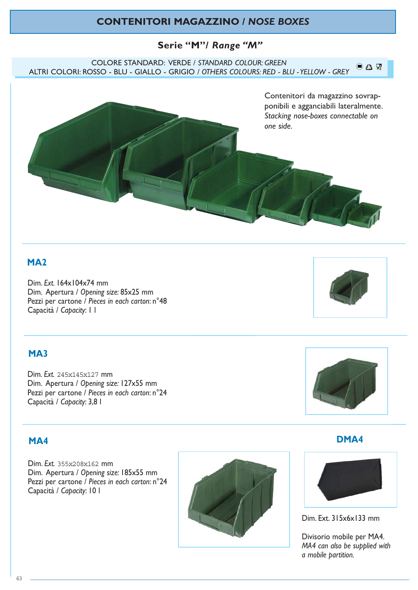# **CONTENITORI MAGAZZINO /** *NOSE BOXES*

## **Serie "M"/** *Range "M"*

COLORE STANDARD: VERDE / *STANDARD COLOUR: GREEN*  $0$   $0$   $\nabla$ ALTRI COLORI: ROSSO - BLU - GIALLO - GRIGIO */ OTHERS COLOURS: RED - BLU - YELLOW - GREY*



# **MA2**

Dim. *Ext.* 164x104x74 mm Dim. Apertura / *Opening size:* 85x25 mm Pezzi per cartone / *Pieces in each carton*: n°48 Capacità / *Capacity*: 1 l

# **MA3**

Dim. *Ext.* 245x145x127 mm Dim. Apertura / *Opening size:* 127x55 mm Pezzi per cartone / *Pieces in each carton*: n°24 Capacità / *Capacity*: 3,8 l

## **MA4**

Dim. *Ext.* 355x208x162 mm Dim. Apertura / *Opening size:* 185x55 mm Pezzi per cartone / *Pieces in each carton*: n°24 Capacità / *Capacity*: 10 l







**DMA4**



Dim. Ext. 315x6x133 mm

Divisorio mobile per MA4. *MA4 can also be supplied with a mobile partition.*